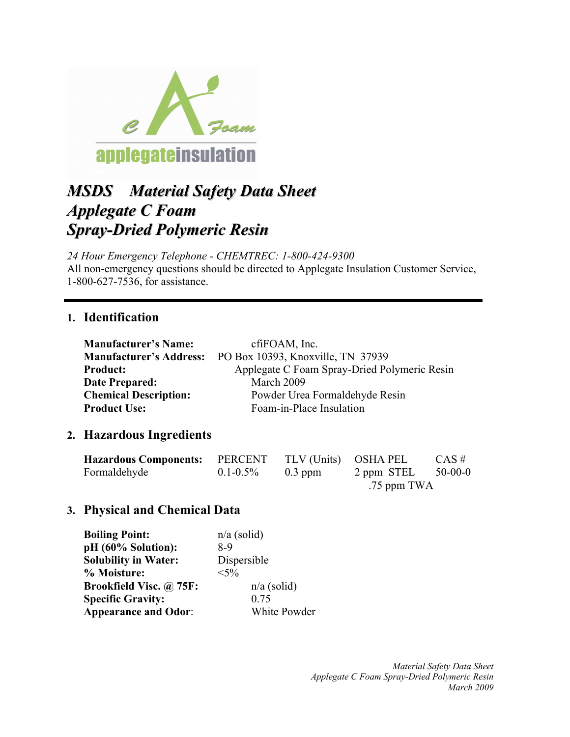

# *MSDS Material Safety Data Sheet Applegate C Foam Spray-Dried Polymeric Resin*

*24 Hour Emergency Telephone - CHEMTREC: 1-800-424-9300* All non-emergency questions should be directed to Applegate Insulation Customer Service, 1-800-627-7536, for assistance.

### **1. Identification**

| <b>Manufacturer's Name:</b>    | cfiFOAM, Inc.                                |
|--------------------------------|----------------------------------------------|
| <b>Manufacturer's Address:</b> | PO Box 10393, Knoxville, TN 37939            |
| <b>Product:</b>                | Applegate C Foam Spray-Dried Polymeric Resin |
| <b>Date Prepared:</b>          | March 2009                                   |
| <b>Chemical Description:</b>   | Powder Urea Formaldehyde Resin               |
| <b>Product Use:</b>            | Foam-in-Place Insulation                     |

### **2. Hazardous Ingredients**

| <b>Hazardous Components:</b> PERCENT |               | TLV (Units) OSHA PEL |             | $CAS \#$  |
|--------------------------------------|---------------|----------------------|-------------|-----------|
| Formaldehyde                         | $0.1 - 0.5\%$ | $0.3$ ppm            | 2 ppm STEL  | $50-00-0$ |
|                                      |               |                      | .75 ppm TWA |           |

### **3. Physical and Chemical Data**

| <b>Boiling Point:</b>       | $n/a$ (solid) |
|-----------------------------|---------------|
| pH (60% Solution):          | 8-9           |
| <b>Solubility in Water:</b> | Dispersible   |
| % Moisture:                 | $< 5\%$       |
| Brookfield Visc. @ 75F:     | $n/a$ (solid) |
| <b>Specific Gravity:</b>    | 0.75          |
| <b>Appearance and Odor:</b> | White Powder  |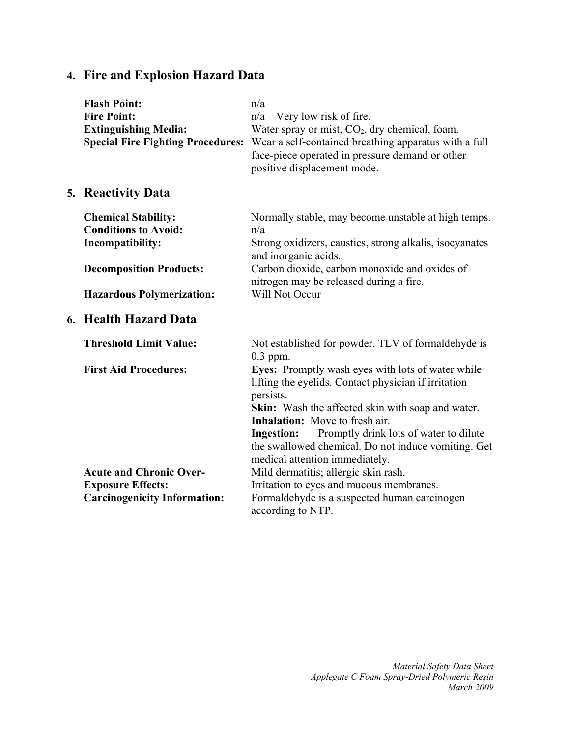# **4. Fire and Explosion Hazard Data**

| <b>Flash Point:</b><br><b>Fire Point:</b><br><b>Extinguishing Media:</b><br><b>Special Fire Fighting Procedures:</b> | n/a<br>$n/a$ —Very low risk of fire.<br>Water spray or mist, CO <sub>2</sub> , dry chemical, foam.<br>Wear a self-contained breathing apparatus with a full<br>face-piece operated in pressure demand or other<br>positive displacement mode.                                                                                                                                       |
|----------------------------------------------------------------------------------------------------------------------|-------------------------------------------------------------------------------------------------------------------------------------------------------------------------------------------------------------------------------------------------------------------------------------------------------------------------------------------------------------------------------------|
| 5. Reactivity Data                                                                                                   |                                                                                                                                                                                                                                                                                                                                                                                     |
| <b>Chemical Stability:</b><br><b>Conditions to Avoid:</b><br>Incompatibility:                                        | Normally stable, may become unstable at high temps.<br>n/a<br>Strong oxidizers, caustics, strong alkalis, isocyanates<br>and inorganic acids.                                                                                                                                                                                                                                       |
| <b>Decomposition Products:</b><br><b>Hazardous Polymerization:</b>                                                   | Carbon dioxide, carbon monoxide and oxides of<br>nitrogen may be released during a fire.<br>Will Not Occur                                                                                                                                                                                                                                                                          |
| 6. Health Hazard Data                                                                                                |                                                                                                                                                                                                                                                                                                                                                                                     |
| <b>Threshold Limit Value:</b>                                                                                        | Not established for powder. TLV of formaldehyde is<br>$0.3$ ppm.                                                                                                                                                                                                                                                                                                                    |
| <b>First Aid Procedures:</b>                                                                                         | Eyes: Promptly wash eyes with lots of water while<br>lifting the eyelids. Contact physician if irritation<br>persists.<br><b>Skin:</b> Wash the affected skin with soap and water.<br><b>Inhalation:</b> Move to fresh air.<br>Promptly drink lots of water to dilute<br><b>Ingestion:</b><br>the swallowed chemical. Do not induce vomiting. Get<br>medical attention immediately. |
| <b>Acute and Chronic Over-</b>                                                                                       | Mild dermatitis; allergic skin rash.                                                                                                                                                                                                                                                                                                                                                |
| <b>Exposure Effects:</b>                                                                                             | Irritation to eyes and mucous membranes.                                                                                                                                                                                                                                                                                                                                            |
| <b>Carcinogenicity Information:</b>                                                                                  | Formaldehyde is a suspected human carcinogen<br>according to NTP.                                                                                                                                                                                                                                                                                                                   |

*Material Safety Data Sheet Applegate C Foam Spray-Dried Polymeric Resin March 2009*